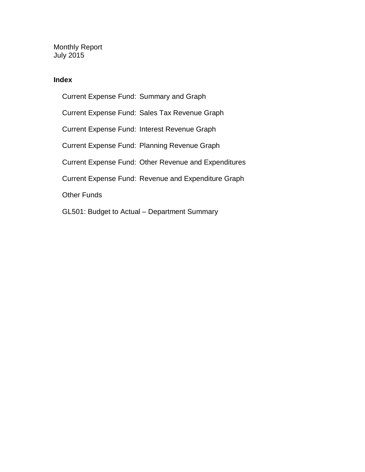Monthly Report July 2015

## **Index**

Current Expense Fund: Summary and Graph Current Expense Fund: Sales Tax Revenue Graph Current Expense Fund: Interest Revenue Graph Current Expense Fund: Planning Revenue Graph Current Expense Fund: Other Revenue and Expenditures Current Expense Fund: Revenue and Expenditure Graph Other Funds GL501: Budget to Actual – Department Summary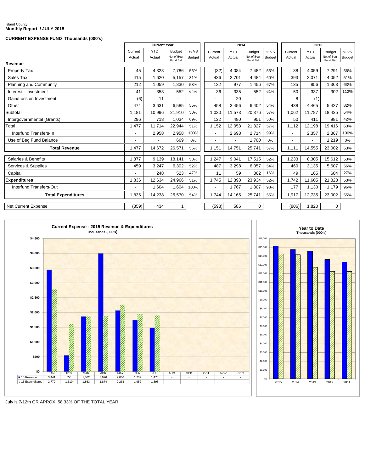#### Island County **Monthly Report / JULY 2015**

#### **CURRENT EXPENSE FUND Thousands (000's)**

|                               |         | <b>Current Year</b> |                              |        |                          | 2014           |                              |        |                          | 2013       |                              |        |
|-------------------------------|---------|---------------------|------------------------------|--------|--------------------------|----------------|------------------------------|--------|--------------------------|------------|------------------------------|--------|
|                               | Current | <b>YTD</b>          | <b>Budget</b><br>Net of Beg. | %VS    | Current                  | <b>YTD</b>     | <b>Budget</b><br>Net of Beg. | %VS    | Current                  | <b>YTD</b> | <b>Budget</b><br>Net of Beg. | %VS    |
|                               | Actual  | Actual              | Fund Bal                     | Budget | Actual                   | Actual         | Fund Bal                     | Budget | Actual                   | Actual     | Fund Bal                     | Budget |
| Revenue                       |         |                     |                              |        |                          |                |                              |        |                          |            |                              |        |
| Property Tax                  | 45      | 4,323               | 7,786                        | 56%    | (32)                     | 4,084          | 7,482                        | 55%    | 38                       | 4,059      | 7,291                        | 56%    |
| Sales Tax                     | 415     | 1,620               | 5,157                        | 31%    | 436                      | 2,701          | 4,484                        | 60%    | 393                      | 2,071      | 4,052                        | 51%    |
| <b>Planning and Community</b> | 212     | 1,059               | 1,830                        | 58%    | 132                      | 977            | 1,456                        | 67%    | 135                      | 856        | 1,363                        | 63%    |
| Interest - Investment         | 41      | 353                 | 552                          | 64%    | 36                       | 335            | 552                          | 61%    | 50                       | 337        | 302                          | 112%   |
| Gain/Loss on Investment       | (6)     | 11                  |                              |        |                          | 20             |                              |        | 8                        | (1)        |                              |        |
| Other                         | 474     | 3,631               | 6.585                        | 55%    | 458                      | 3,456          | 6.402                        | 54%    | 438                      | 4,465      | 5.427                        | 82%    |
| Subtotal                      | 1,181   | 10,996              | 21,910                       | 50%    | 1,030                    | 11,573         | 20,376                       | 57%    | 1,062                    | 11,787     | 18,435                       | 64%    |
| Intergovernmental (Grants)    | 296     | 718                 | 1,034                        | 69%    | 122                      | 480            | 951                          | 50%    | 50                       | 411        | 981                          | 42%    |
| Total                         | 1.477   | 11.714              | 22,944                       | 51%    | 1.152                    | 12,053         | 21,327                       | 57%    | 1.112                    | 12.198     | 19.416                       | 63%    |
| Interfund Transfers-In        |         | 2,958               | 2,958                        | 100%   | $\overline{\phantom{0}}$ | 2,698          | 2,714                        | 99%    | $\overline{\phantom{0}}$ | 2,357      | 2,367                        | 100%   |
| Use of Beg Fund Balance       |         | $\overline{a}$      | 669                          | 0%     | $\overline{a}$           | $\overline{a}$ | 1,700                        | 0%     |                          |            | 1,219                        | 0%     |
| <b>Total Revenue</b>          | 1.477   | 14.672              | 26,571                       | 55%    | 1,151                    | 14,751         | 25,741                       | 57%    | 1.111                    | 14,555     | 23,002                       | 63%    |
| Salaries & Benefits           | 1,377   | 9,139               | 18,141                       | 50%    | 1,247                    | 9,041          | 17,515                       | 52%    | 1,233                    | 8,305      | 15,612                       | 53%    |
| Services & Supplies           | 459     | 3,247               | 6,302                        | 52%    | 487                      | 3,298          | 6,057                        | 54%    | 460                      | 3,135      | 5,607                        | 56%    |
| Capital                       |         | 248                 | 523                          | 47%    | 11                       | 59             | 362                          | 16%    | 49                       | 165        | 604                          | 27%    |
| <b>Expenditures</b>           | 1,836   | 12,634              | 24,966                       | 51%    | 1.745                    | 12,398         | 23,934                       | 52%    | 1,742                    | 11,605     | 21,823                       | 53%    |
| Interfund Transfers-Out       |         | 1,604               | 1,604                        | 100%   | $\overline{\phantom{a}}$ | 1,767          | 1,807                        | 98%    | 177                      | 1,130      | 1,179                        | 96%    |
| <b>Total Expenditures</b>     | 1,836   | 14,238              | 26,570                       | 54%    | 1.744                    | 14,165         | 25,741                       | 55%    | 1,917                    | 12,735     | 23,002                       | 55%    |
| Net Current Expense           | (359)   | 434                 |                              |        | (593)                    | 586            | $\mathbf 0$                  |        | (806)                    | 1,820      | $\Omega$                     |        |





July is 7/12th OR APROX. 58.33% OF THE TOTAL YEAR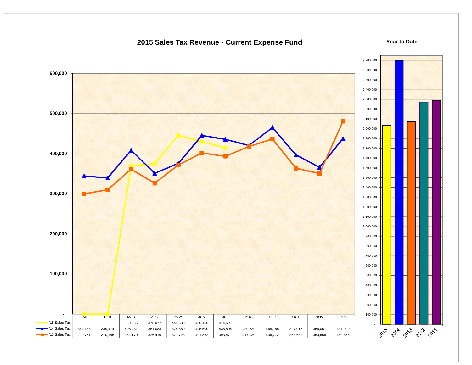### **2015 Sales Tax Revenue - Current Expense Fund**

#### **Year to Date**

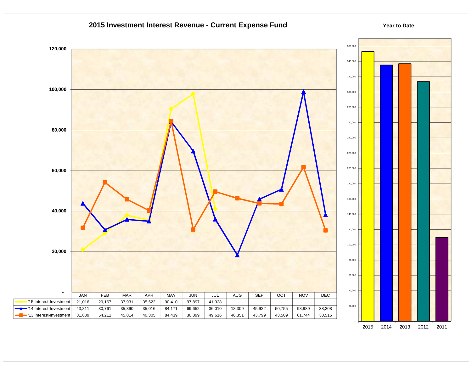

2015 2014 2013 2012 2011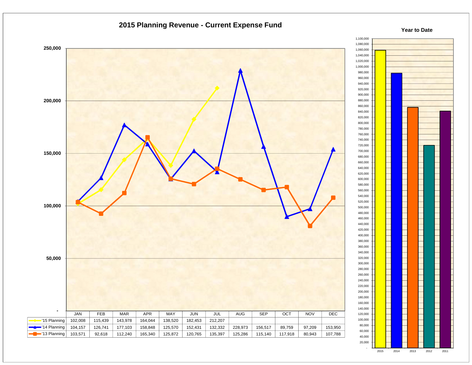

2015 2014 2013 2012 2011

-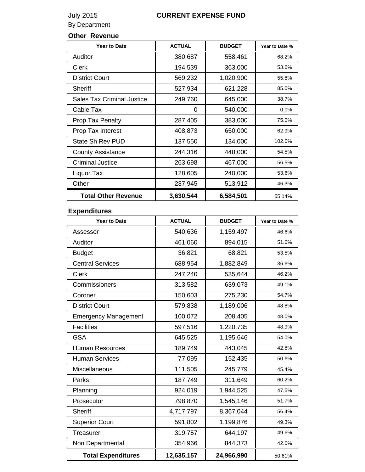# July 2015 **CURRENT EXPENSE FUND**

By Department

## **Other Revenue**

| <b>Year to Date</b>               | <b>ACTUAL</b> | <b>BUDGET</b> | Year to Date % |
|-----------------------------------|---------------|---------------|----------------|
| Auditor                           | 380,687       | 558,461       | 68.2%          |
| <b>Clerk</b>                      | 194,539       | 363,000       | 53.6%          |
| <b>District Court</b>             | 569,232       | 1,020,900     | 55.8%          |
| <b>Sheriff</b>                    | 527,934       | 621,228       | 85.0%          |
| <b>Sales Tax Criminal Justice</b> | 249,760       | 645,000       | 38.7%          |
| Cable Tax                         | 0             | 540,000       | 0.0%           |
| Prop Tax Penalty                  | 287,405       | 383,000       | 75.0%          |
| Prop Tax Interest                 | 408,873       | 650,000       | 62.9%          |
| State Sh Rev PUD                  | 137,550       | 134,000       | 102.6%         |
| <b>County Assistance</b>          | 244,316       | 448,000       | 54.5%          |
| <b>Criminal Justice</b>           | 263,698       | 467,000       | 56.5%          |
| Liquor Tax                        | 128,605       | 240,000       | 53.6%          |
| Other                             | 237,945       | 513,912       | 46.3%          |
| <b>Total Other Revenue</b>        | 3,630,544     | 6,584,501     | 55.14%         |

## **Expenditures**

| <b>Year to Date</b>         | <b>ACTUAL</b> | <b>BUDGET</b> | Year to Date % |
|-----------------------------|---------------|---------------|----------------|
| Assessor                    | 540,636       | 1,159,497     | 46.6%          |
| Auditor                     | 461,060       | 894,015       | 51.6%          |
| <b>Budget</b>               | 36,821        | 68,821        | 53.5%          |
| <b>Central Services</b>     | 688,954       | 1,882,849     | 36.6%          |
| <b>Clerk</b>                | 247,240       | 535,644       | 46.2%          |
| Commissioners               | 313,582       | 639,073       | 49.1%          |
| Coroner                     | 150,603       | 275,230       | 54.7%          |
| <b>District Court</b>       | 579,838       | 1,189,006     | 48.8%          |
| <b>Emergency Management</b> | 100,072       | 208,405       | 48.0%          |
| <b>Facilities</b>           | 597,516       | 1,220,735     | 48.9%          |
| <b>GSA</b>                  | 645,525       | 1,195,646     | 54.0%          |
| <b>Human Resources</b>      | 189,749       | 443,045       | 42.8%          |
| <b>Human Services</b>       | 77,095        | 152,435       | 50.6%          |
| Miscellaneous               | 111,505       | 245,779       | 45.4%          |
| Parks                       | 187,749       | 311,649       | 60.2%          |
| Planning                    | 924,019       | 1,944,525     | 47.5%          |
| Prosecutor                  | 798,870       | 1,545,146     | 51.7%          |
| <b>Sheriff</b>              | 4,717,797     | 8,367,044     | 56.4%          |
| <b>Superior Court</b>       | 591,802       | 1,199,876     | 49.3%          |
| Treasurer                   | 319,757       | 644,197       | 49.6%          |
| Non Departmental            | 354,966       | 844,373       | 42.0%          |
| <b>Total Expenditures</b>   | 12,635,157    | 24,966,990    | 50.61%         |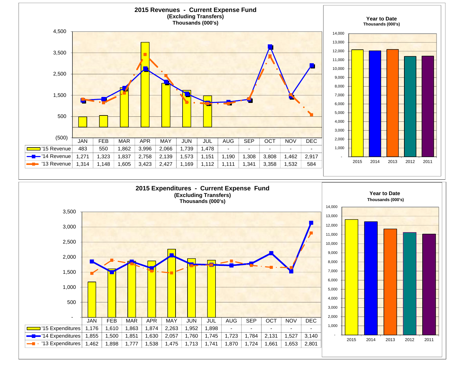

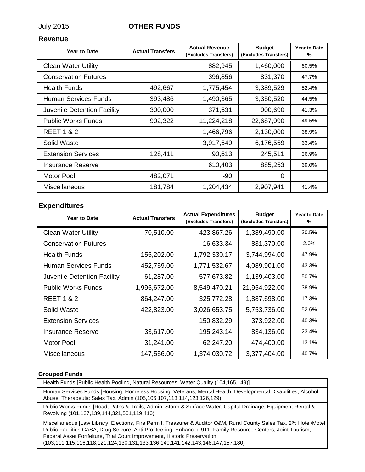## July 2015 **OTHER FUNDS**

#### **Revenue**

| <b>Year to Date</b>         | <b>Actual Transfers</b> | <b>Actual Revenue</b><br>(Excludes Transfers) | <b>Budget</b><br>(Excludes Transfers) | <b>Year to Date</b><br>% |
|-----------------------------|-------------------------|-----------------------------------------------|---------------------------------------|--------------------------|
| <b>Clean Water Utility</b>  |                         | 882,945                                       | 1,460,000                             | 60.5%                    |
| <b>Conservation Futures</b> |                         | 396,856                                       | 831,370                               | 47.7%                    |
| <b>Health Funds</b>         | 492,667                 | 1,775,454                                     | 3,389,529                             | 52.4%                    |
| Human Services Funds        | 393,486                 | 1,490,365                                     | 3,350,520                             | 44.5%                    |
| Juvenile Detention Facility | 300,000                 | 371,631                                       | 900,690                               | 41.3%                    |
| <b>Public Works Funds</b>   | 902,322                 | 11,224,218                                    | 22,687,990                            | 49.5%                    |
| <b>REET 1 &amp; 2</b>       |                         | 1,466,796                                     | 2,130,000                             | 68.9%                    |
| Solid Waste                 |                         | 3,917,649                                     | 6,176,559                             | 63.4%                    |
| <b>Extension Services</b>   | 128,411                 | 90,613                                        | 245,511                               | 36.9%                    |
| <b>Insurance Reserve</b>    |                         | 610,403                                       | 885,253                               | 69.0%                    |
| <b>Motor Pool</b>           | 482,071                 | -90                                           | $\Omega$                              |                          |
| <b>Miscellaneous</b>        | 181,784                 | 1,204,434                                     | 2,907,941                             | 41.4%                    |

### **Expenditures**

| <b>Year to Date</b>         | <b>Actual Transfers</b> | <b>Actual Expenditures</b><br>(Excludes Transfers) | <b>Budget</b><br>(Excludes Transfers) | <b>Year to Date</b><br>% |
|-----------------------------|-------------------------|----------------------------------------------------|---------------------------------------|--------------------------|
| <b>Clean Water Utility</b>  | 70,510.00               | 423,867.26                                         | 1,389,490.00                          | 30.5%                    |
| <b>Conservation Futures</b> |                         | 16,633.34                                          | 831,370.00                            | 2.0%                     |
| <b>Health Funds</b>         | 155,202.00              | 1,792,330.17                                       | 3,744,994.00                          | 47.9%                    |
| Human Services Funds        | 452,759.00              | 1,771,532.67                                       | 4,089,901.00                          | 43.3%                    |
| Juvenile Detention Facility | 61,287.00               | 577,673.82                                         | 1,139,403.00                          | 50.7%                    |
| <b>Public Works Funds</b>   | 1,995,672.00            | 8,549,470.21                                       | 21,954,922.00                         | 38.9%                    |
| <b>REET 1 &amp; 2</b>       | 864,247.00              | 325,772.28                                         | 1,887,698.00                          | 17.3%                    |
| Solid Waste                 | 422,823.00              | 3,026,653.75                                       | 5,753,736.00                          | 52.6%                    |
| <b>Extension Services</b>   |                         | 150,832.29                                         | 373,922.00                            | 40.3%                    |
| <b>Insurance Reserve</b>    | 33,617.00               | 195,243.14                                         | 834,136.00                            | 23.4%                    |
| <b>Motor Pool</b>           | 31,241.00               | 62,247.20                                          | 474,400.00                            | 13.1%                    |
| Miscellaneous               | 147,556.00              | 1,374,030.72                                       | 3,377,404.00                          | 40.7%                    |

#### **Grouped Funds**

Health Funds [Public Health Pooling, Natural Resources, Water Quality (104,165,149)]

Human Services Funds [Housing, Homeless Housing, Veterans, Mental Health, Developmental Disabilities, Alcohol Abuse, Therapeutic Sales Tax, Admin (105,106,107,113,114,123,126,129)

Public Works Funds [Road, Paths & Trails, Admin, Storm & Surface Water, Capital Drainage, Equipment Rental & Revolving (101,137,139,144,321,501,119,410)

Miscellaneous [Law Library, Elections, Fire Permit, Treasurer & Auditor O&M, Rural County Sales Tax, 2% Hotel/Motel Public Facilities,CASA, Drug Seizure, Anti Profiteering, Enhanced 911, Family Resource Centers, Joint Tourism, Federal Asset Fortfeiture, Trial Court Improvement, Historic Preservation (103,111,115,116,118,121,124,130,131,133,136,140,141,142,143,146,147,157,180)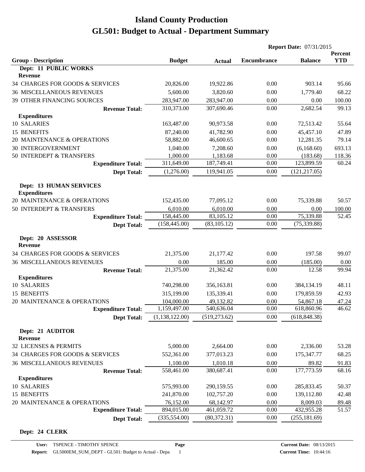| <b>YTD</b><br><b>Group - Description</b><br><b>Budget</b><br><b>Encumbrance</b><br><b>Balance</b><br><b>Actual</b><br>Dept: 11 PUBLIC WORKS<br><b>Revenue</b><br>34 CHARGES FOR GOODS & SERVICES<br>19,922.86<br>0.00<br>903.14<br>20,826.00<br>95.66<br><b>36 MISCELLANEOUS REVENUES</b><br>5,600.00<br>3,820.60<br>0.00<br>1,779.40<br>68.22<br>0.00<br>0.00<br>39 OTHER FINANCING SOURCES<br>283,947.00<br>283,947.00<br>100.00<br>0.00<br>2,682.54<br>99.13<br>310,373.00<br>307,690.46<br><b>Revenue Total:</b><br><b>Expenditures</b><br>10 SALARIES<br>163,487.00<br>90,973.58<br>0.00<br>72,513.42<br>55.64<br>15 BENEFITS<br>0.00<br>87,240.00<br>41,782.90<br>45,457.10<br>47.89<br>20 MAINTENANCE & OPERATIONS<br>58,882.00<br>46,600.65<br>0.00<br>12,281.35<br>79.14<br><b>30 INTERGOVERNMENT</b><br>1,040.00<br>7,208.60<br>0.00<br>(6,168.60)<br>693.13<br>0.00<br>50 INTERDEPT & TRANSFERS<br>1,000.00<br>1,183.68<br>(183.68)<br>118.36<br>311,649.00<br>187,749.41<br>0.00<br>123,899.59<br><b>Expenditure Total:</b><br>(1,276.00)<br>119,941.05<br>0.00<br>(121, 217.05)<br><b>Dept Total:</b><br><b>Dept: 13 HUMAN SERVICES</b><br><b>Expenditures</b><br>20 MAINTENANCE & OPERATIONS<br>0.00<br>75,339.88<br>50.57<br>152,435.00<br>77,095.12<br>0.00<br>50 INTERDEPT & TRANSFERS<br>6,010.00<br>6,010.00<br>0.00<br>100.00<br>158,445.00<br>83,105.12<br>0.00<br>75,339.88<br>52.45<br><b>Expenditure Total:</b><br>0.00<br>(158, 445.00)<br>(83, 105.12)<br>(75, 339.88)<br><b>Dept Total:</b><br>Dept: 20 ASSESSOR<br><b>Revenue</b><br>34 CHARGES FOR GOODS & SERVICES<br>21,375.00<br>0.00<br>197.58<br>99.07<br>21,177.42<br>0.00<br><b>36 MISCELLANEOUS REVENUES</b><br>0.00<br>185.00<br>(185.00)<br>0.00<br>21,375.00<br>21,362.42<br>0.00<br>12.58<br><b>Revenue Total:</b><br><b>Expenditures</b><br>10 SALARIES<br>0.00<br>740,298.00<br>356,163.81<br>384,134.19<br>48.11<br>0.00<br>15 BENEFITS<br>315,199.00<br>135,339.41<br>179,859.59<br>42.93<br>49,132.82<br>0.00<br>20 MAINTENANCE & OPERATIONS<br>104,000.00<br>54,867.18<br>47.24<br>1,159,497.00<br>540,636.04<br>0.00<br>618,860.96<br>46.62<br><b>Expenditure Total:</b><br>(1,138,122.00)<br>(519, 273.62)<br>0.00<br>(618, 848.38)<br><b>Dept Total:</b><br>Dept: 21 AUDITOR<br>Revenue<br>32 LICENSES & PERMITS<br>0.00<br>5,000.00<br>2,664.00<br>2,336.00<br>53.28<br>34 CHARGES FOR GOODS & SERVICES<br>552,361.00<br>0.00<br>68.25<br>377,013.23<br>175,347.77<br><b>36 MISCELLANEOUS REVENUES</b><br>1,100.00<br>1,010.18<br>0.00<br>89.82<br>91.83<br>177,773.59<br>68.16<br>558,461.00<br>380,687.41<br>0.00<br><b>Revenue Total:</b><br><b>Expenditures</b><br>10 SALARIES<br>575,993.00<br>290,159.55<br>0.00<br>285,833.45<br>50.37<br>15 BENEFITS<br>241,870.00<br>102,757.20<br>0.00<br>139,112.80<br>42.48<br>20 MAINTENANCE & OPERATIONS<br>0.00<br>76,152.00<br>68,142.97<br>8,009.03<br>89.48<br><b>Expenditure Total:</b><br>894,015.00<br>461,059.72<br>0.00<br>432,955.28<br>(335, 554.00)<br>(80, 372.31)<br>0.00<br>(255, 181.69) |                    |  | <b>Report Date: 07/31/2015</b> |  |         |
|-----------------------------------------------------------------------------------------------------------------------------------------------------------------------------------------------------------------------------------------------------------------------------------------------------------------------------------------------------------------------------------------------------------------------------------------------------------------------------------------------------------------------------------------------------------------------------------------------------------------------------------------------------------------------------------------------------------------------------------------------------------------------------------------------------------------------------------------------------------------------------------------------------------------------------------------------------------------------------------------------------------------------------------------------------------------------------------------------------------------------------------------------------------------------------------------------------------------------------------------------------------------------------------------------------------------------------------------------------------------------------------------------------------------------------------------------------------------------------------------------------------------------------------------------------------------------------------------------------------------------------------------------------------------------------------------------------------------------------------------------------------------------------------------------------------------------------------------------------------------------------------------------------------------------------------------------------------------------------------------------------------------------------------------------------------------------------------------------------------------------------------------------------------------------------------------------------------------------------------------------------------------------------------------------------------------------------------------------------------------------------------------------------------------------------------------------------------------------------------------------------------------------------------------------------------------------------------------------------------------------------------------------------------------------------------------------------------------------------------------------------------------------------------------------------------------------------------------------------------------------------------------------------------------------------------------------------------------------------------------------------------------------------------------------------------|--------------------|--|--------------------------------|--|---------|
|                                                                                                                                                                                                                                                                                                                                                                                                                                                                                                                                                                                                                                                                                                                                                                                                                                                                                                                                                                                                                                                                                                                                                                                                                                                                                                                                                                                                                                                                                                                                                                                                                                                                                                                                                                                                                                                                                                                                                                                                                                                                                                                                                                                                                                                                                                                                                                                                                                                                                                                                                                                                                                                                                                                                                                                                                                                                                                                                                                                                                                                           |                    |  |                                |  | Percent |
|                                                                                                                                                                                                                                                                                                                                                                                                                                                                                                                                                                                                                                                                                                                                                                                                                                                                                                                                                                                                                                                                                                                                                                                                                                                                                                                                                                                                                                                                                                                                                                                                                                                                                                                                                                                                                                                                                                                                                                                                                                                                                                                                                                                                                                                                                                                                                                                                                                                                                                                                                                                                                                                                                                                                                                                                                                                                                                                                                                                                                                                           |                    |  |                                |  |         |
|                                                                                                                                                                                                                                                                                                                                                                                                                                                                                                                                                                                                                                                                                                                                                                                                                                                                                                                                                                                                                                                                                                                                                                                                                                                                                                                                                                                                                                                                                                                                                                                                                                                                                                                                                                                                                                                                                                                                                                                                                                                                                                                                                                                                                                                                                                                                                                                                                                                                                                                                                                                                                                                                                                                                                                                                                                                                                                                                                                                                                                                           |                    |  |                                |  |         |
|                                                                                                                                                                                                                                                                                                                                                                                                                                                                                                                                                                                                                                                                                                                                                                                                                                                                                                                                                                                                                                                                                                                                                                                                                                                                                                                                                                                                                                                                                                                                                                                                                                                                                                                                                                                                                                                                                                                                                                                                                                                                                                                                                                                                                                                                                                                                                                                                                                                                                                                                                                                                                                                                                                                                                                                                                                                                                                                                                                                                                                                           |                    |  |                                |  |         |
|                                                                                                                                                                                                                                                                                                                                                                                                                                                                                                                                                                                                                                                                                                                                                                                                                                                                                                                                                                                                                                                                                                                                                                                                                                                                                                                                                                                                                                                                                                                                                                                                                                                                                                                                                                                                                                                                                                                                                                                                                                                                                                                                                                                                                                                                                                                                                                                                                                                                                                                                                                                                                                                                                                                                                                                                                                                                                                                                                                                                                                                           |                    |  |                                |  |         |
|                                                                                                                                                                                                                                                                                                                                                                                                                                                                                                                                                                                                                                                                                                                                                                                                                                                                                                                                                                                                                                                                                                                                                                                                                                                                                                                                                                                                                                                                                                                                                                                                                                                                                                                                                                                                                                                                                                                                                                                                                                                                                                                                                                                                                                                                                                                                                                                                                                                                                                                                                                                                                                                                                                                                                                                                                                                                                                                                                                                                                                                           |                    |  |                                |  |         |
|                                                                                                                                                                                                                                                                                                                                                                                                                                                                                                                                                                                                                                                                                                                                                                                                                                                                                                                                                                                                                                                                                                                                                                                                                                                                                                                                                                                                                                                                                                                                                                                                                                                                                                                                                                                                                                                                                                                                                                                                                                                                                                                                                                                                                                                                                                                                                                                                                                                                                                                                                                                                                                                                                                                                                                                                                                                                                                                                                                                                                                                           |                    |  |                                |  |         |
|                                                                                                                                                                                                                                                                                                                                                                                                                                                                                                                                                                                                                                                                                                                                                                                                                                                                                                                                                                                                                                                                                                                                                                                                                                                                                                                                                                                                                                                                                                                                                                                                                                                                                                                                                                                                                                                                                                                                                                                                                                                                                                                                                                                                                                                                                                                                                                                                                                                                                                                                                                                                                                                                                                                                                                                                                                                                                                                                                                                                                                                           |                    |  |                                |  |         |
|                                                                                                                                                                                                                                                                                                                                                                                                                                                                                                                                                                                                                                                                                                                                                                                                                                                                                                                                                                                                                                                                                                                                                                                                                                                                                                                                                                                                                                                                                                                                                                                                                                                                                                                                                                                                                                                                                                                                                                                                                                                                                                                                                                                                                                                                                                                                                                                                                                                                                                                                                                                                                                                                                                                                                                                                                                                                                                                                                                                                                                                           |                    |  |                                |  |         |
|                                                                                                                                                                                                                                                                                                                                                                                                                                                                                                                                                                                                                                                                                                                                                                                                                                                                                                                                                                                                                                                                                                                                                                                                                                                                                                                                                                                                                                                                                                                                                                                                                                                                                                                                                                                                                                                                                                                                                                                                                                                                                                                                                                                                                                                                                                                                                                                                                                                                                                                                                                                                                                                                                                                                                                                                                                                                                                                                                                                                                                                           |                    |  |                                |  |         |
|                                                                                                                                                                                                                                                                                                                                                                                                                                                                                                                                                                                                                                                                                                                                                                                                                                                                                                                                                                                                                                                                                                                                                                                                                                                                                                                                                                                                                                                                                                                                                                                                                                                                                                                                                                                                                                                                                                                                                                                                                                                                                                                                                                                                                                                                                                                                                                                                                                                                                                                                                                                                                                                                                                                                                                                                                                                                                                                                                                                                                                                           |                    |  |                                |  |         |
|                                                                                                                                                                                                                                                                                                                                                                                                                                                                                                                                                                                                                                                                                                                                                                                                                                                                                                                                                                                                                                                                                                                                                                                                                                                                                                                                                                                                                                                                                                                                                                                                                                                                                                                                                                                                                                                                                                                                                                                                                                                                                                                                                                                                                                                                                                                                                                                                                                                                                                                                                                                                                                                                                                                                                                                                                                                                                                                                                                                                                                                           |                    |  |                                |  |         |
|                                                                                                                                                                                                                                                                                                                                                                                                                                                                                                                                                                                                                                                                                                                                                                                                                                                                                                                                                                                                                                                                                                                                                                                                                                                                                                                                                                                                                                                                                                                                                                                                                                                                                                                                                                                                                                                                                                                                                                                                                                                                                                                                                                                                                                                                                                                                                                                                                                                                                                                                                                                                                                                                                                                                                                                                                                                                                                                                                                                                                                                           |                    |  |                                |  |         |
|                                                                                                                                                                                                                                                                                                                                                                                                                                                                                                                                                                                                                                                                                                                                                                                                                                                                                                                                                                                                                                                                                                                                                                                                                                                                                                                                                                                                                                                                                                                                                                                                                                                                                                                                                                                                                                                                                                                                                                                                                                                                                                                                                                                                                                                                                                                                                                                                                                                                                                                                                                                                                                                                                                                                                                                                                                                                                                                                                                                                                                                           |                    |  |                                |  | 60.24   |
|                                                                                                                                                                                                                                                                                                                                                                                                                                                                                                                                                                                                                                                                                                                                                                                                                                                                                                                                                                                                                                                                                                                                                                                                                                                                                                                                                                                                                                                                                                                                                                                                                                                                                                                                                                                                                                                                                                                                                                                                                                                                                                                                                                                                                                                                                                                                                                                                                                                                                                                                                                                                                                                                                                                                                                                                                                                                                                                                                                                                                                                           |                    |  |                                |  |         |
|                                                                                                                                                                                                                                                                                                                                                                                                                                                                                                                                                                                                                                                                                                                                                                                                                                                                                                                                                                                                                                                                                                                                                                                                                                                                                                                                                                                                                                                                                                                                                                                                                                                                                                                                                                                                                                                                                                                                                                                                                                                                                                                                                                                                                                                                                                                                                                                                                                                                                                                                                                                                                                                                                                                                                                                                                                                                                                                                                                                                                                                           |                    |  |                                |  |         |
|                                                                                                                                                                                                                                                                                                                                                                                                                                                                                                                                                                                                                                                                                                                                                                                                                                                                                                                                                                                                                                                                                                                                                                                                                                                                                                                                                                                                                                                                                                                                                                                                                                                                                                                                                                                                                                                                                                                                                                                                                                                                                                                                                                                                                                                                                                                                                                                                                                                                                                                                                                                                                                                                                                                                                                                                                                                                                                                                                                                                                                                           |                    |  |                                |  |         |
|                                                                                                                                                                                                                                                                                                                                                                                                                                                                                                                                                                                                                                                                                                                                                                                                                                                                                                                                                                                                                                                                                                                                                                                                                                                                                                                                                                                                                                                                                                                                                                                                                                                                                                                                                                                                                                                                                                                                                                                                                                                                                                                                                                                                                                                                                                                                                                                                                                                                                                                                                                                                                                                                                                                                                                                                                                                                                                                                                                                                                                                           |                    |  |                                |  |         |
|                                                                                                                                                                                                                                                                                                                                                                                                                                                                                                                                                                                                                                                                                                                                                                                                                                                                                                                                                                                                                                                                                                                                                                                                                                                                                                                                                                                                                                                                                                                                                                                                                                                                                                                                                                                                                                                                                                                                                                                                                                                                                                                                                                                                                                                                                                                                                                                                                                                                                                                                                                                                                                                                                                                                                                                                                                                                                                                                                                                                                                                           |                    |  |                                |  |         |
|                                                                                                                                                                                                                                                                                                                                                                                                                                                                                                                                                                                                                                                                                                                                                                                                                                                                                                                                                                                                                                                                                                                                                                                                                                                                                                                                                                                                                                                                                                                                                                                                                                                                                                                                                                                                                                                                                                                                                                                                                                                                                                                                                                                                                                                                                                                                                                                                                                                                                                                                                                                                                                                                                                                                                                                                                                                                                                                                                                                                                                                           |                    |  |                                |  |         |
|                                                                                                                                                                                                                                                                                                                                                                                                                                                                                                                                                                                                                                                                                                                                                                                                                                                                                                                                                                                                                                                                                                                                                                                                                                                                                                                                                                                                                                                                                                                                                                                                                                                                                                                                                                                                                                                                                                                                                                                                                                                                                                                                                                                                                                                                                                                                                                                                                                                                                                                                                                                                                                                                                                                                                                                                                                                                                                                                                                                                                                                           |                    |  |                                |  |         |
|                                                                                                                                                                                                                                                                                                                                                                                                                                                                                                                                                                                                                                                                                                                                                                                                                                                                                                                                                                                                                                                                                                                                                                                                                                                                                                                                                                                                                                                                                                                                                                                                                                                                                                                                                                                                                                                                                                                                                                                                                                                                                                                                                                                                                                                                                                                                                                                                                                                                                                                                                                                                                                                                                                                                                                                                                                                                                                                                                                                                                                                           |                    |  |                                |  |         |
|                                                                                                                                                                                                                                                                                                                                                                                                                                                                                                                                                                                                                                                                                                                                                                                                                                                                                                                                                                                                                                                                                                                                                                                                                                                                                                                                                                                                                                                                                                                                                                                                                                                                                                                                                                                                                                                                                                                                                                                                                                                                                                                                                                                                                                                                                                                                                                                                                                                                                                                                                                                                                                                                                                                                                                                                                                                                                                                                                                                                                                                           |                    |  |                                |  |         |
|                                                                                                                                                                                                                                                                                                                                                                                                                                                                                                                                                                                                                                                                                                                                                                                                                                                                                                                                                                                                                                                                                                                                                                                                                                                                                                                                                                                                                                                                                                                                                                                                                                                                                                                                                                                                                                                                                                                                                                                                                                                                                                                                                                                                                                                                                                                                                                                                                                                                                                                                                                                                                                                                                                                                                                                                                                                                                                                                                                                                                                                           |                    |  |                                |  |         |
|                                                                                                                                                                                                                                                                                                                                                                                                                                                                                                                                                                                                                                                                                                                                                                                                                                                                                                                                                                                                                                                                                                                                                                                                                                                                                                                                                                                                                                                                                                                                                                                                                                                                                                                                                                                                                                                                                                                                                                                                                                                                                                                                                                                                                                                                                                                                                                                                                                                                                                                                                                                                                                                                                                                                                                                                                                                                                                                                                                                                                                                           |                    |  |                                |  |         |
|                                                                                                                                                                                                                                                                                                                                                                                                                                                                                                                                                                                                                                                                                                                                                                                                                                                                                                                                                                                                                                                                                                                                                                                                                                                                                                                                                                                                                                                                                                                                                                                                                                                                                                                                                                                                                                                                                                                                                                                                                                                                                                                                                                                                                                                                                                                                                                                                                                                                                                                                                                                                                                                                                                                                                                                                                                                                                                                                                                                                                                                           |                    |  |                                |  | 99.94   |
|                                                                                                                                                                                                                                                                                                                                                                                                                                                                                                                                                                                                                                                                                                                                                                                                                                                                                                                                                                                                                                                                                                                                                                                                                                                                                                                                                                                                                                                                                                                                                                                                                                                                                                                                                                                                                                                                                                                                                                                                                                                                                                                                                                                                                                                                                                                                                                                                                                                                                                                                                                                                                                                                                                                                                                                                                                                                                                                                                                                                                                                           |                    |  |                                |  |         |
|                                                                                                                                                                                                                                                                                                                                                                                                                                                                                                                                                                                                                                                                                                                                                                                                                                                                                                                                                                                                                                                                                                                                                                                                                                                                                                                                                                                                                                                                                                                                                                                                                                                                                                                                                                                                                                                                                                                                                                                                                                                                                                                                                                                                                                                                                                                                                                                                                                                                                                                                                                                                                                                                                                                                                                                                                                                                                                                                                                                                                                                           |                    |  |                                |  |         |
|                                                                                                                                                                                                                                                                                                                                                                                                                                                                                                                                                                                                                                                                                                                                                                                                                                                                                                                                                                                                                                                                                                                                                                                                                                                                                                                                                                                                                                                                                                                                                                                                                                                                                                                                                                                                                                                                                                                                                                                                                                                                                                                                                                                                                                                                                                                                                                                                                                                                                                                                                                                                                                                                                                                                                                                                                                                                                                                                                                                                                                                           |                    |  |                                |  |         |
|                                                                                                                                                                                                                                                                                                                                                                                                                                                                                                                                                                                                                                                                                                                                                                                                                                                                                                                                                                                                                                                                                                                                                                                                                                                                                                                                                                                                                                                                                                                                                                                                                                                                                                                                                                                                                                                                                                                                                                                                                                                                                                                                                                                                                                                                                                                                                                                                                                                                                                                                                                                                                                                                                                                                                                                                                                                                                                                                                                                                                                                           |                    |  |                                |  |         |
|                                                                                                                                                                                                                                                                                                                                                                                                                                                                                                                                                                                                                                                                                                                                                                                                                                                                                                                                                                                                                                                                                                                                                                                                                                                                                                                                                                                                                                                                                                                                                                                                                                                                                                                                                                                                                                                                                                                                                                                                                                                                                                                                                                                                                                                                                                                                                                                                                                                                                                                                                                                                                                                                                                                                                                                                                                                                                                                                                                                                                                                           |                    |  |                                |  |         |
|                                                                                                                                                                                                                                                                                                                                                                                                                                                                                                                                                                                                                                                                                                                                                                                                                                                                                                                                                                                                                                                                                                                                                                                                                                                                                                                                                                                                                                                                                                                                                                                                                                                                                                                                                                                                                                                                                                                                                                                                                                                                                                                                                                                                                                                                                                                                                                                                                                                                                                                                                                                                                                                                                                                                                                                                                                                                                                                                                                                                                                                           |                    |  |                                |  |         |
|                                                                                                                                                                                                                                                                                                                                                                                                                                                                                                                                                                                                                                                                                                                                                                                                                                                                                                                                                                                                                                                                                                                                                                                                                                                                                                                                                                                                                                                                                                                                                                                                                                                                                                                                                                                                                                                                                                                                                                                                                                                                                                                                                                                                                                                                                                                                                                                                                                                                                                                                                                                                                                                                                                                                                                                                                                                                                                                                                                                                                                                           |                    |  |                                |  |         |
|                                                                                                                                                                                                                                                                                                                                                                                                                                                                                                                                                                                                                                                                                                                                                                                                                                                                                                                                                                                                                                                                                                                                                                                                                                                                                                                                                                                                                                                                                                                                                                                                                                                                                                                                                                                                                                                                                                                                                                                                                                                                                                                                                                                                                                                                                                                                                                                                                                                                                                                                                                                                                                                                                                                                                                                                                                                                                                                                                                                                                                                           |                    |  |                                |  |         |
|                                                                                                                                                                                                                                                                                                                                                                                                                                                                                                                                                                                                                                                                                                                                                                                                                                                                                                                                                                                                                                                                                                                                                                                                                                                                                                                                                                                                                                                                                                                                                                                                                                                                                                                                                                                                                                                                                                                                                                                                                                                                                                                                                                                                                                                                                                                                                                                                                                                                                                                                                                                                                                                                                                                                                                                                                                                                                                                                                                                                                                                           |                    |  |                                |  |         |
|                                                                                                                                                                                                                                                                                                                                                                                                                                                                                                                                                                                                                                                                                                                                                                                                                                                                                                                                                                                                                                                                                                                                                                                                                                                                                                                                                                                                                                                                                                                                                                                                                                                                                                                                                                                                                                                                                                                                                                                                                                                                                                                                                                                                                                                                                                                                                                                                                                                                                                                                                                                                                                                                                                                                                                                                                                                                                                                                                                                                                                                           |                    |  |                                |  |         |
|                                                                                                                                                                                                                                                                                                                                                                                                                                                                                                                                                                                                                                                                                                                                                                                                                                                                                                                                                                                                                                                                                                                                                                                                                                                                                                                                                                                                                                                                                                                                                                                                                                                                                                                                                                                                                                                                                                                                                                                                                                                                                                                                                                                                                                                                                                                                                                                                                                                                                                                                                                                                                                                                                                                                                                                                                                                                                                                                                                                                                                                           |                    |  |                                |  |         |
|                                                                                                                                                                                                                                                                                                                                                                                                                                                                                                                                                                                                                                                                                                                                                                                                                                                                                                                                                                                                                                                                                                                                                                                                                                                                                                                                                                                                                                                                                                                                                                                                                                                                                                                                                                                                                                                                                                                                                                                                                                                                                                                                                                                                                                                                                                                                                                                                                                                                                                                                                                                                                                                                                                                                                                                                                                                                                                                                                                                                                                                           |                    |  |                                |  |         |
|                                                                                                                                                                                                                                                                                                                                                                                                                                                                                                                                                                                                                                                                                                                                                                                                                                                                                                                                                                                                                                                                                                                                                                                                                                                                                                                                                                                                                                                                                                                                                                                                                                                                                                                                                                                                                                                                                                                                                                                                                                                                                                                                                                                                                                                                                                                                                                                                                                                                                                                                                                                                                                                                                                                                                                                                                                                                                                                                                                                                                                                           |                    |  |                                |  |         |
|                                                                                                                                                                                                                                                                                                                                                                                                                                                                                                                                                                                                                                                                                                                                                                                                                                                                                                                                                                                                                                                                                                                                                                                                                                                                                                                                                                                                                                                                                                                                                                                                                                                                                                                                                                                                                                                                                                                                                                                                                                                                                                                                                                                                                                                                                                                                                                                                                                                                                                                                                                                                                                                                                                                                                                                                                                                                                                                                                                                                                                                           |                    |  |                                |  |         |
|                                                                                                                                                                                                                                                                                                                                                                                                                                                                                                                                                                                                                                                                                                                                                                                                                                                                                                                                                                                                                                                                                                                                                                                                                                                                                                                                                                                                                                                                                                                                                                                                                                                                                                                                                                                                                                                                                                                                                                                                                                                                                                                                                                                                                                                                                                                                                                                                                                                                                                                                                                                                                                                                                                                                                                                                                                                                                                                                                                                                                                                           |                    |  |                                |  |         |
|                                                                                                                                                                                                                                                                                                                                                                                                                                                                                                                                                                                                                                                                                                                                                                                                                                                                                                                                                                                                                                                                                                                                                                                                                                                                                                                                                                                                                                                                                                                                                                                                                                                                                                                                                                                                                                                                                                                                                                                                                                                                                                                                                                                                                                                                                                                                                                                                                                                                                                                                                                                                                                                                                                                                                                                                                                                                                                                                                                                                                                                           |                    |  |                                |  | 51.57   |
|                                                                                                                                                                                                                                                                                                                                                                                                                                                                                                                                                                                                                                                                                                                                                                                                                                                                                                                                                                                                                                                                                                                                                                                                                                                                                                                                                                                                                                                                                                                                                                                                                                                                                                                                                                                                                                                                                                                                                                                                                                                                                                                                                                                                                                                                                                                                                                                                                                                                                                                                                                                                                                                                                                                                                                                                                                                                                                                                                                                                                                                           | <b>Dept Total:</b> |  |                                |  |         |

#### **Dept: 24 CLERK**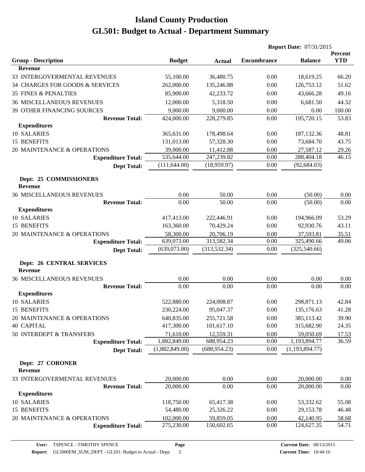|                                                    |                |               | <b>Report Date: 07/31/2015</b> |                  |                       |
|----------------------------------------------------|----------------|---------------|--------------------------------|------------------|-----------------------|
| <b>Group - Description</b>                         | <b>Budget</b>  | <b>Actual</b> | <b>Encumbrance</b>             | <b>Balance</b>   | Percent<br><b>YTD</b> |
| <b>Revenue</b>                                     |                |               |                                |                  |                       |
| 33 INTERGOVERMENTAL REVENUES                       | 55,100.00      | 36,480.75     | 0.00                           | 18,619.25        | 66.20                 |
| 34 CHARGES FOR GOODS & SERVICES                    | 262,000.00     | 135,246.88    | 0.00                           | 126,753.12       | 51.62                 |
| <b>35 FINES &amp; PENALTIES</b>                    | 85,900.00      | 42,233.72     | 0.00                           | 43,666.28        | 49.16                 |
| <b>36 MISCELLANEOUS REVENUES</b>                   | 12,000.00      | 5,318.50      | 0.00                           | 6,681.50         | 44.32                 |
| 39 OTHER FINANCING SOURCES                         | 9,000.00       | 9,000.00      | 0.00                           | 0.00             | 100.00                |
| <b>Revenue Total:</b>                              | 424,000.00     | 228,279.85    | 0.00                           | 195,720.15       | 53.83                 |
| <b>Expenditures</b>                                |                |               |                                |                  |                       |
| 10 SALARIES                                        | 365,631.00     | 178,498.64    | 0.00                           | 187, 132. 36     | 48.81                 |
| 15 BENEFITS                                        | 131,013.00     | 57,328.30     | 0.00                           | 73,684.70        | 43.75                 |
| 20 MAINTENANCE & OPERATIONS                        | 39,000.00      | 11,412.88     | 0.00                           | 27,587.12        | 29.26                 |
| <b>Expenditure Total:</b>                          | 535,644.00     | 247,239.82    | 0.00                           | 288,404.18       | 46.15                 |
| <b>Dept Total:</b>                                 | (111, 644.00)  | (18,959.97)   | 0.00                           | (92, 684.03)     |                       |
| Dept: 25 COMMISSIONERS<br><b>Revenue</b>           |                |               |                                |                  |                       |
| <b>36 MISCELLANEOUS REVENUES</b>                   | 0.00           | 50.00         | 0.00                           | (50.00)          | 0.00                  |
| <b>Revenue Total:</b>                              | 0.00           | 50.00         | 0.00                           | (50.00)          | 0.00                  |
| <b>Expenditures</b>                                |                |               |                                |                  |                       |
| 10 SALARIES                                        | 417,413.00     | 222,446.91    | 0.00                           | 194,966.09       | 53.29                 |
| 15 BENEFITS                                        | 163,360.00     | 70,429.24     | 0.00                           | 92,930.76        | 43.11                 |
| 20 MAINTENANCE & OPERATIONS                        | 58,300.00      | 20,706.19     | 0.00                           | 37,593.81        | 35.51                 |
| <b>Expenditure Total:</b>                          | 639,073.00     | 313,582.34    | 0.00                           | 325,490.66       | 49.06                 |
| <b>Dept Total:</b>                                 | (639,073.00)   | (313, 532.34) | 0.00                           | (325,540.66)     |                       |
| <b>Dept: 26 CENTRAL SERVICES</b><br><b>Revenue</b> |                |               |                                |                  |                       |
| <b>36 MISCELLANEOUS REVENUES</b>                   | 0.00           | 0.00          | 0.00                           | 0.00             | 0.00                  |
| <b>Revenue Total:</b>                              | 0.00           | 0.00          | 0.00                           | 0.00             | 0.00                  |
| <b>Expenditures</b>                                |                |               |                                |                  |                       |
| 10 SALARIES                                        | 522,880.00     | 224,008.87    | 0.00                           | 298,871.13       | 42.84                 |
| 15 BENEFITS                                        | 230,224.00     | 95,047.37     | $0.00\,$                       | 135,176.63       | 41.28                 |
| 20 MAINTENANCE & OPERATIONS                        | 640,835.00     | 255,721.58    | 0.00                           | 385,113.42       | 39.90                 |
| <b>40 CAPITAL</b>                                  | 417,300.00     | 101,617.10    | 0.00                           | 315,682.90       | 24.35                 |
| 50 INTERDEPT & TRANSFERS                           | 71,610.00      | 12,559.31     | 0.00                           | 59,050.69        | 17.53                 |
| <b>Expenditure Total:</b>                          | 1,882,849.00   | 688,954.23    | 0.00                           | 1,193,894.77     | 36.59                 |
| <b>Dept Total:</b>                                 | (1,882,849.00) | (688, 954.23) | 0.00                           | (1, 193, 894.77) |                       |
| Dept: 27 CORONER<br><b>Revenue</b>                 |                |               |                                |                  |                       |
| 33 INTERGOVERMENTAL REVENUES                       | 20,000.00      | 0.00          | 0.00                           | 20,000.00        | 0.00                  |
| <b>Revenue Total:</b>                              | 20,000.00      | 0.00          | 0.00                           | 20,000.00        | 0.00                  |
| <b>Expenditures</b>                                |                |               |                                |                  |                       |
| 10 SALARIES                                        | 118,750.00     | 65,417.38     | 0.00                           | 53,332.62        | 55.08                 |
| 15 BENEFITS                                        | 54,480.00      | 25,326.22     | 0.00                           | 29,153.78        | 46.48                 |
| 20 MAINTENANCE & OPERATIONS                        | 102,000.00     | 59,859.05     | 0.00                           | 42,140.95        | 58.68                 |
| <b>Expenditure Total:</b>                          | 275,230.00     | 150,602.65    | 0.00                           | 124,627.35       | 54.71                 |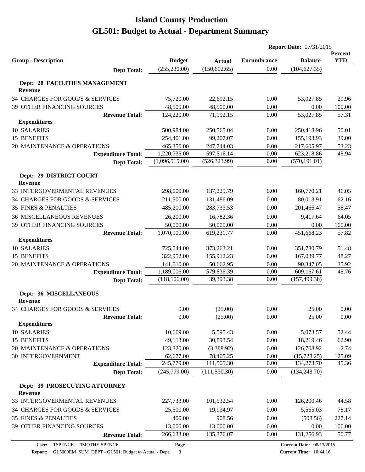|                                                  |                |               | <b>Report Date: 07/31/2015</b> |                |                       |
|--------------------------------------------------|----------------|---------------|--------------------------------|----------------|-----------------------|
| <b>Group - Description</b>                       | <b>Budget</b>  | <b>Actual</b> | <b>Encumbrance</b>             | <b>Balance</b> | Percent<br><b>YTD</b> |
| <b>Dept Total:</b>                               | (255, 230.00)  | (150, 602.65) | 0.00                           | (104, 627.35)  |                       |
|                                                  |                |               |                                |                |                       |
| Dept: 28 FACILITIES MANAGEMENT<br><b>Revenue</b> |                |               |                                |                |                       |
| 34 CHARGES FOR GOODS & SERVICES                  | 75,720.00      | 22,692.15     | 0.00                           | 53,027.85      | 29.96                 |
| 39 OTHER FINANCING SOURCES                       | 48,500.00      | 48,500.00     | 0.00                           | 0.00           | 100.00                |
| <b>Revenue Total:</b>                            | 124,220.00     | 71,192.15     | 0.00                           | 53,027.85      | 57.31                 |
| <b>Expenditures</b>                              |                |               |                                |                |                       |
| 10 SALARIES                                      | 500,984.00     | 250,565.04    | 0.00                           | 250,418.96     | 50.01                 |
| 15 BENEFITS                                      | 254,401.00     | 99,207.07     | 0.00                           | 155,193.93     | 39.00                 |
| 20 MAINTENANCE & OPERATIONS                      | 465,350.00     | 247,744.03    | 0.00                           | 217,605.97     | 53.23                 |
| <b>Expenditure Total:</b>                        | 1,220,735.00   | 597,516.14    | 0.00                           | 623,218.86     | 48.94                 |
| <b>Dept Total:</b>                               | (1,096,515.00) | (526, 323.99) | 0.00                           | (570, 191.01)  |                       |
| Dept: 29 DISTRICT COURT                          |                |               |                                |                |                       |
| <b>Revenue</b>                                   |                |               |                                |                |                       |
| 33 INTERGOVERMENTAL REVENUES                     | 298,000.00     | 137,229.79    | 0.00                           | 160,770.21     | 46.05                 |
| 34 CHARGES FOR GOODS & SERVICES                  | 211,500.00     | 131,486.09    | 0.00                           | 80,013.91      | 62.16                 |
| <b>35 FINES &amp; PENALTIES</b>                  | 485,200.00     | 283,733.53    | 0.00                           | 201,466.47     | 58.47                 |
| <b>36 MISCELLANEOUS REVENUES</b>                 | 26,200.00      | 16,782.36     | 0.00                           | 9,417.64       | 64.05                 |
| 39 OTHER FINANCING SOURCES                       | 50,000.00      | 50,000.00     | 0.00                           | 0.00           | 100.00                |
| <b>Revenue Total:</b>                            | 1,070,900.00   | 619,231.77    | 0.00                           | 451,668.23     | 57.82                 |
| <b>Expenditures</b>                              |                |               |                                |                |                       |
| 10 SALARIES                                      | 725,044.00     | 373,263.21    | 0.00                           | 351,780.79     | 51.48                 |
| 15 BENEFITS                                      | 322,952.00     | 155,912.23    | 0.00                           | 167,039.77     | 48.27                 |
| 20 MAINTENANCE & OPERATIONS                      | 141,010.00     | 50,662.95     | 0.00                           | 90,347.05      | 35.92                 |
| <b>Expenditure Total:</b>                        | 1,189,006.00   | 579,838.39    | 0.00                           | 609,167.61     | 48.76                 |
| <b>Dept Total:</b>                               | (118, 106.00)  | 39,393.38     | 0.00                           | (157, 499.38)  |                       |
| Dept: 36 MISCELLANEOUS<br>Revenue                |                |               |                                |                |                       |
| 34 CHARGES FOR GOODS & SERVICES                  | 0.00           | (25.00)       | 0.00                           | 25.00          | 0.00                  |
| <b>Revenue Total:</b>                            | 0.00           | (25.00)       | 0.00                           | 25.00          | $0.00\,$              |
| <b>Expenditures</b>                              |                |               |                                |                |                       |
| 10 SALARIES                                      | 10,669.00      | 5,595.43      | 0.00                           | 5,073.57       | 52.44                 |
| <b>15 BENEFITS</b>                               | 49,113.00      | 30,893.54     | 0.00                           | 18,219.46      | 62.90                 |
| 20 MAINTENANCE & OPERATIONS                      | 123,320.00     | (3,388.92)    | 0.00                           | 126,708.92     | $-2.74$               |
| <b>30 INTERGOVERNMENT</b>                        | 62,677.00      | 78,405.25     | 0.00                           | (15,728.25)    | 125.09                |
| <b>Expenditure Total:</b>                        | 245,779.00     | 111,505.30    | 0.00                           | 134,273.70     | 45.36                 |
| <b>Dept Total:</b>                               | (245,779.00)   | (111, 530.30) | 0.00                           | (134, 248.70)  |                       |
| Dept: 39 PROSECUTING ATTORNEY<br><b>Revenue</b>  |                |               |                                |                |                       |
| 33 INTERGOVERMENTAL REVENUES                     | 227,733.00     | 101,532.54    | 0.00                           | 126,200.46     | 44.58                 |
| 34 CHARGES FOR GOODS & SERVICES                  | 25,500.00      | 19,934.97     | 0.00                           | 5,565.03       | 78.17                 |
| <b>35 FINES &amp; PENALTIES</b>                  | 400.00         | 908.56        | 0.00                           | (508.56)       | 227.14                |
| 39 OTHER FINANCING SOURCES                       | 13,000.00      | 13,000.00     | 0.00                           | 0.00           | 100.00                |
| <b>Revenue Total:</b>                            | 266,633.00     | 135,376.07    | 0.00                           | 131,256.93     | 50.77                 |
|                                                  |                |               |                                |                |                       |

**Page**

**Report:** GL5000EM\_SUM\_DEPT - GL501: Budget to Actual - Depa 3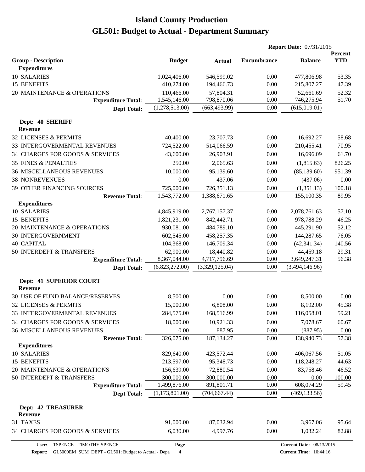|                                             |                |                | <b>Report Date: 07/31/2015</b> |                |                              |
|---------------------------------------------|----------------|----------------|--------------------------------|----------------|------------------------------|
| <b>Group - Description</b>                  | <b>Budget</b>  | <b>Actual</b>  | <b>Encumbrance</b>             | <b>Balance</b> | <b>Percent</b><br><b>YTD</b> |
| <b>Expenditures</b>                         |                |                |                                |                |                              |
| 10 SALARIES                                 | 1,024,406.00   | 546,599.02     | 0.00                           | 477,806.98     | 53.35                        |
| 15 BENEFITS                                 | 410,274.00     | 194,466.73     | 0.00                           | 215,807.27     | 47.39                        |
| 20 MAINTENANCE & OPERATIONS                 | 110,466.00     | 57,804.31      | 0.00                           | 52,661.69      | 52.32                        |
| <b>Expenditure Total:</b>                   | 1,545,146.00   | 798,870.06     | 0.00                           | 746,275.94     | 51.70                        |
| <b>Dept Total:</b>                          | (1,278,513.00) | (663, 493.99)  | 0.00                           | (615,019.01)   |                              |
| Dept: 40 SHERIFF<br><b>Revenue</b>          |                |                |                                |                |                              |
| 32 LICENSES & PERMITS                       | 40,400.00      | 23,707.73      | 0.00                           | 16,692.27      | 58.68                        |
| 33 INTERGOVERMENTAL REVENUES                | 724,522.00     | 514,066.59     | 0.00                           | 210,455.41     | 70.95                        |
| 34 CHARGES FOR GOODS & SERVICES             | 43,600.00      | 26,903.91      | 0.00                           | 16,696.09      | 61.70                        |
| <b>35 FINES &amp; PENALTIES</b>             | 250.00         | 2,065.63       | 0.00                           | (1,815.63)     | 826.25                       |
| <b>36 MISCELLANEOUS REVENUES</b>            | 10,000.00      | 95,139.60      | 0.00                           | (85, 139.60)   | 951.39                       |
| <b>38 NONREVENUES</b>                       | 0.00           | 437.06         | 0.00                           | (437.06)       | 0.00                         |
| 39 OTHER FINANCING SOURCES                  | 725,000.00     | 726,351.13     | 0.00                           | (1,351.13)     | 100.18                       |
| <b>Revenue Total:</b>                       | 1,543,772.00   | 1,388,671.65   | 0.00                           | 155,100.35     | 89.95                        |
| <b>Expenditures</b>                         |                |                |                                |                |                              |
| 10 SALARIES                                 | 4,845,919.00   | 2,767,157.37   | 0.00                           | 2,078,761.63   | 57.10                        |
| 15 BENEFITS                                 | 1,821,231.00   | 842,442.71     | 0.00                           | 978,788.29     | 46.25                        |
| 20 MAINTENANCE & OPERATIONS                 | 930,081.00     | 484,789.10     | 0.00                           | 445,291.90     | 52.12                        |
| 30 INTERGOVERNMENT                          | 602,545.00     | 458,257.35     | 0.00                           | 144,287.65     | 76.05                        |
| <b>40 CAPITAL</b>                           | 104,368.00     | 146,709.34     | 0.00                           | (42, 341.34)   | 140.56                       |
| 50 INTERDEPT & TRANSFERS                    | 62,900.00      | 18,440.82      | 0.00                           | 44,459.18      | 29.31                        |
| <b>Expenditure Total:</b>                   | 8,367,044.00   | 4,717,796.69   | 0.00                           | 3,649,247.31   | 56.38                        |
| <b>Dept Total:</b>                          | (6,823,272.00) | (3,329,125.04) | 0.00                           | (3,494,146.96) |                              |
| Dept: 41 SUPERIOR COURT<br><b>Revenue</b>   |                |                |                                |                |                              |
| 30 USE OF FUND BALANCE/RESERVES             | 8,500.00       | 0.00           | 0.00                           | 8,500.00       | 0.00                         |
| 32 LICENSES & PERMITS                       | 15,000.00      | 6,808.00       | 0.00                           | 8,192.00       | 45.38                        |
| 33 INTERGOVERMENTAL REVENUES                | 284,575.00     | 168,516.99     | 0.00                           | 116,058.01     | 59.21                        |
| 34 CHARGES FOR GOODS & SERVICES             | 18,000.00      | 10,921.33      | 0.00                           | 7,078.67       | 60.67                        |
| <b>36 MISCELLANEOUS REVENUES</b>            | 0.00           | 887.95         | 0.00                           | (887.95)       | 0.00                         |
| <b>Revenue Total:</b>                       | 326,075.00     | 187, 134. 27   | 0.00                           | 138,940.73     | 57.38                        |
| <b>Expenditures</b>                         |                |                |                                |                |                              |
| 10 SALARIES                                 | 829,640.00     | 423,572.44     | 0.00                           | 406,067.56     | 51.05                        |
| 15 BENEFITS                                 | 213,597.00     | 95,348.73      | 0.00                           | 118,248.27     | 44.63                        |
| 20 MAINTENANCE & OPERATIONS                 | 156,639.00     | 72,880.54      | 0.00                           | 83,758.46      | 46.52                        |
| 50 INTERDEPT & TRANSFERS                    | 300,000.00     | 300,000.00     | 0.00                           | 0.00           | 100.00                       |
| <b>Expenditure Total:</b>                   | 1,499,876.00   | 891,801.71     | 0.00                           | 608,074.29     | 59.45                        |
| <b>Dept Total:</b>                          | (1,173,801.00) | (704, 667.44)  | 0.00                           | (469, 133.56)  |                              |
| <b>Dept: 42 TREASURER</b><br><b>Revenue</b> |                |                |                                |                |                              |
| 31 TAXES                                    | 91,000.00      | 87,032.94      | 0.00                           | 3,967.06       | 95.64                        |
| 34 CHARGES FOR GOODS & SERVICES             | 6,030.00       | 4,997.76       | 0.00                           | 1,032.24       | 82.88                        |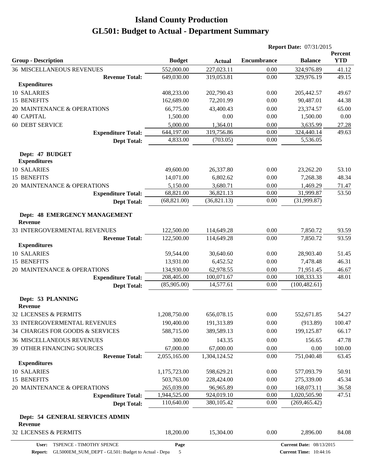|                                                   |               |               |                    | <b>Report Date: 07/31/2015</b>  |                       |  |
|---------------------------------------------------|---------------|---------------|--------------------|---------------------------------|-----------------------|--|
| <b>Group - Description</b>                        | <b>Budget</b> | <b>Actual</b> | <b>Encumbrance</b> | <b>Balance</b>                  | Percent<br><b>YTD</b> |  |
| <b>36 MISCELLANEOUS REVENUES</b>                  | 552,000.00    | 227,023.11    | 0.00               | 324,976.89                      | 41.12                 |  |
| <b>Revenue Total:</b>                             | 649,030.00    | 319,053.81    | 0.00               | 329,976.19                      | 49.15                 |  |
| <b>Expenditures</b>                               |               |               |                    |                                 |                       |  |
| 10 SALARIES                                       | 408,233.00    | 202,790.43    | 0.00               | 205,442.57                      | 49.67                 |  |
| 15 BENEFITS                                       | 162,689.00    | 72,201.99     | 0.00               | 90,487.01                       | 44.38                 |  |
| 20 MAINTENANCE & OPERATIONS                       | 66,775.00     | 43,400.43     | 0.00               | 23,374.57                       | 65.00                 |  |
| <b>40 CAPITAL</b>                                 | 1,500.00      | 0.00          | 0.00               | 1,500.00                        | 0.00                  |  |
| <b>60 DEBT SERVICE</b>                            | 5,000.00      | 1,364.01      | 0.00               | 3,635.99                        | 27.28                 |  |
| <b>Expenditure Total:</b>                         | 644,197.00    | 319,756.86    | 0.00               | 324,440.14                      | 49.63                 |  |
| <b>Dept Total:</b>                                | 4,833.00      | (703.05)      | 0.00               | 5,536.05                        |                       |  |
| Dept: 47 BUDGET<br><b>Expenditures</b>            |               |               |                    |                                 |                       |  |
| 10 SALARIES                                       | 49,600.00     | 26,337.80     | 0.00               | 23,262.20                       | 53.10                 |  |
| 15 BENEFITS                                       | 14,071.00     | 6,802.62      | 0.00               | 7,268.38                        | 48.34                 |  |
| 20 MAINTENANCE & OPERATIONS                       | 5,150.00      | 3,680.71      | 0.00               | 1,469.29                        | 71.47                 |  |
| <b>Expenditure Total:</b>                         | 68,821.00     | 36,821.13     | 0.00               | 31,999.87                       | 53.50                 |  |
| <b>Dept Total:</b>                                | (68, 821.00)  | (36,821.13)   | 0.00               | (31,999.87)                     |                       |  |
| Dept: 48 EMERGENCY MANAGEMENT<br><b>Revenue</b>   |               |               |                    |                                 |                       |  |
| 33 INTERGOVERMENTAL REVENUES                      | 122,500.00    | 114,649.28    | 0.00               | 7,850.72                        | 93.59                 |  |
| <b>Revenue Total:</b>                             | 122,500.00    | 114,649.28    | 0.00               | 7,850.72                        | 93.59                 |  |
| <b>Expenditures</b>                               |               |               |                    |                                 |                       |  |
| 10 SALARIES                                       | 59,544.00     | 30,640.60     | 0.00               | 28,903.40                       | 51.45                 |  |
| 15 BENEFITS                                       | 13,931.00     | 6,452.52      | 0.00               | 7,478.48                        | 46.31                 |  |
| 20 MAINTENANCE & OPERATIONS                       | 134,930.00    | 62,978.55     | 0.00               | 71,951.45                       | 46.67                 |  |
| <b>Expenditure Total:</b>                         | 208,405.00    | 100,071.67    | 0.00               | 108,333.33                      | 48.01                 |  |
| <b>Dept Total:</b>                                | (85,905.00)   | 14,577.61     | 0.00               | (100, 482.61)                   |                       |  |
| Dept: 53 PLANNING<br><b>Revenue</b>               |               |               |                    |                                 |                       |  |
| 32 LICENSES & PERMITS                             | 1,208,750.00  | 656,078.15    | 0.00               | 552,671.85                      | 54.27                 |  |
| 33 INTERGOVERMENTAL REVENUES                      | 190,400.00    | 191,313.89    | 0.00               | (913.89)                        | 100.47                |  |
| 34 CHARGES FOR GOODS & SERVICES                   | 588,715.00    | 389,589.13    | 0.00               | 199,125.87                      | 66.17                 |  |
| <b>36 MISCELLANEOUS REVENUES</b>                  | 300.00        | 143.35        | 0.00               | 156.65                          | 47.78                 |  |
| 39 OTHER FINANCING SOURCES                        | 67,000.00     | 67,000.00     | 0.00               | 0.00                            | 100.00                |  |
| <b>Revenue Total:</b>                             | 2,055,165.00  | 1,304,124.52  | 0.00               | 751,040.48                      | 63.45                 |  |
| <b>Expenditures</b>                               |               |               |                    |                                 |                       |  |
| 10 SALARIES                                       | 1,175,723.00  | 598,629.21    | 0.00               | 577,093.79                      | 50.91                 |  |
| 15 BENEFITS                                       | 503,763.00    | 228,424.00    | 0.00               | 275,339.00                      | 45.34                 |  |
| 20 MAINTENANCE & OPERATIONS                       | 265,039.00    | 96,965.89     | 0.00               | 168,073.11                      | 36.58                 |  |
| <b>Expenditure Total:</b>                         | 1,944,525.00  | 924,019.10    | 0.00               | 1,020,505.90                    | 47.51                 |  |
| <b>Dept Total:</b>                                | 110,640.00    | 380,105.42    | 0.00               | (269, 465.42)                   |                       |  |
| Dept: 54 GENERAL SERVICES ADMIN<br><b>Revenue</b> |               |               |                    |                                 |                       |  |
| 32 LICENSES & PERMITS                             | 18,200.00     | 15,304.00     | 0.00               | 2,896.00                        | 84.08                 |  |
| User: TSPENCE - TIMOTHY SPENCE                    | Page          |               |                    | <b>Current Date: 08/13/2015</b> |                       |  |